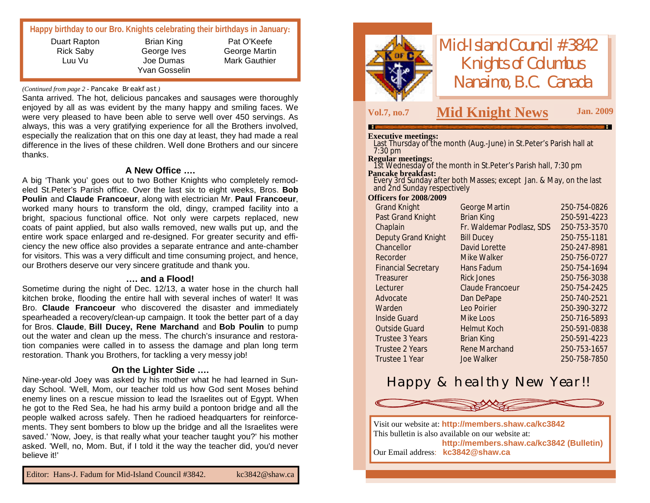|  |  |  | Happy birthday to our Bro. Knights celebrating their birthdays in January: |
|--|--|--|----------------------------------------------------------------------------|
|--|--|--|----------------------------------------------------------------------------|

| Duart Rapton |  |
|--------------|--|
| Rick Saby    |  |
| Luu Vu       |  |
|              |  |

Brian King George Ives Joe Dumas Yvan Gosselin

Pat O'Keefe George Martin Mark Gauthier

#### *(Continued from page 2 -* Pancake Breakfast*)*

Santa arrived. The hot, delicious pancakes and sausages were thoroughly enjoyed by all as was evident by the many happy and smiling faces. We were very pleased to have been able to serve well over 450 servings. As always, this was a very gratifying experience for all the Brothers involved, especially the realization that on this one day at least, they had made a real difference in the lives of these children. Well done Brothers and our sincere thanks.

#### **A New Office ….**

A big 'Thank you' goes out to two Bother Knights who completely remodeled St.Peter's Parish office. Over the last six to eight weeks, Bros. **Bob Poulin** and **Claude Francoeur**, along with electrician Mr. **Paul Francoeur**, worked many hours to transform the old, dingy, cramped facility into a bright, spacious functional office. Not only were carpets replaced, new coats of paint applied, but also walls removed, new walls put up, and the entire work space enlarged and re-designed. For greater security and efficiency the new office also provides a separate entrance and ante-chamber for visitors. This was a very difficult and time consuming project, and hence, our Brothers deserve our very sincere gratitude and thank you.

#### **.… and a Flood!**

Sometime during the night of Dec. 12/13, a water hose in the church hall kitchen broke, flooding the entire hall with several inches of water! It was Bro. **Claude Francoeur** who discovered the disaster and immediately spearheaded a recovery/clean-up campaign. It took the better part of a day for Bros. **Claude**, **Bill Ducey, Rene Marchand** and **Bob Poulin** to pump out the water and clean up the mess. The church's insurance and restoration companies were called in to assess the damage and plan long term restoration. Thank you Brothers, for tackling a very messy job!

#### **On the Lighter Side ….**

Nine-year-old Joey was asked by his mother what he had learned in Sunday School. 'Well, Mom, our teacher told us how God sent Moses behind enemy lines on a rescue mission to lead the Israelites out of Egypt. When he got to the Red Sea, he had his army build a pontoon bridge and all the people walked across safely. Then he radioed headquarters for reinforcements. They sent bombers to blow up the bridge and all the Israelites were saved.' 'Now, Joey, is that really what your teacher taught you?' his mother asked. 'Well, no, Mom. But, if I told it the way the teacher did, you'd never believe it!'



*Mid-Island Council #3842 Knights of Columbus Nanaimo, B.C. Canada*

### **Vol.7, no.7 M Jan. <sup>2009</sup> id Knight News**

#### **Executive meetings:**

Last Thursday of the month (Aug.-June) in St.Peter's Parish hall at 7:30 pm

#### **Regular meetings:**

1st Wednesday of the month in St.Peter's Parish hall, 7:30 pm **Pancake breakfast:**

Every 3rd Sunday after both Masses; except Jan. & May, on the last and 2nd Sunday respectively

#### **Officers for 2008/2009**

| <b>Grand Knight</b>        | George Martin             | 250-754-0826 |
|----------------------------|---------------------------|--------------|
| Past Grand Knight          | <b>Brian King</b>         | 250-591-4223 |
| Chaplain                   | Fr. Waldemar Podlasz, SDS | 250-753-3570 |
| Deputy Grand Knight        | <b>Bill Ducey</b>         | 250-755-1181 |
| Chancellor                 | David Lorette             | 250-247-8981 |
| Recorder                   | Mike Walker               | 250-756-0727 |
| <b>Financial Secretary</b> | Hans Fadum                | 250-754-1694 |
| Treasurer                  | <b>Rick Jones</b>         | 250-756-3038 |
| Lecturer                   | Claude Francoeur          | 250-754-2425 |
| Advocate                   | Dan DePape                | 250-740-2521 |
| Warden                     | Leo Poirier               | 250-390-3272 |
| Inside Guard               | Mike Loos                 | 250-716-5893 |
| Outside Guard              | <b>Helmut Koch</b>        | 250-591-0838 |
| Trustee 3 Years            | <b>Brian King</b>         | 250-591-4223 |
| Trustee 2 Years            | Rene Marchand             | 250-753-1657 |
| Trustee 1 Year             | Joe Walker                | 250-758-7850 |
|                            |                           |              |

## Happy & healthy New Year!!



Visit our website at: **<http://members.shaw.ca/kc3842>** This bulletin is also available on our website at: **<http://members.shaw.ca/kc3842> (Bulletin)** Our Email address: **[kc3842@shaw.ca](mailto:kc3842@shaw.ca)**